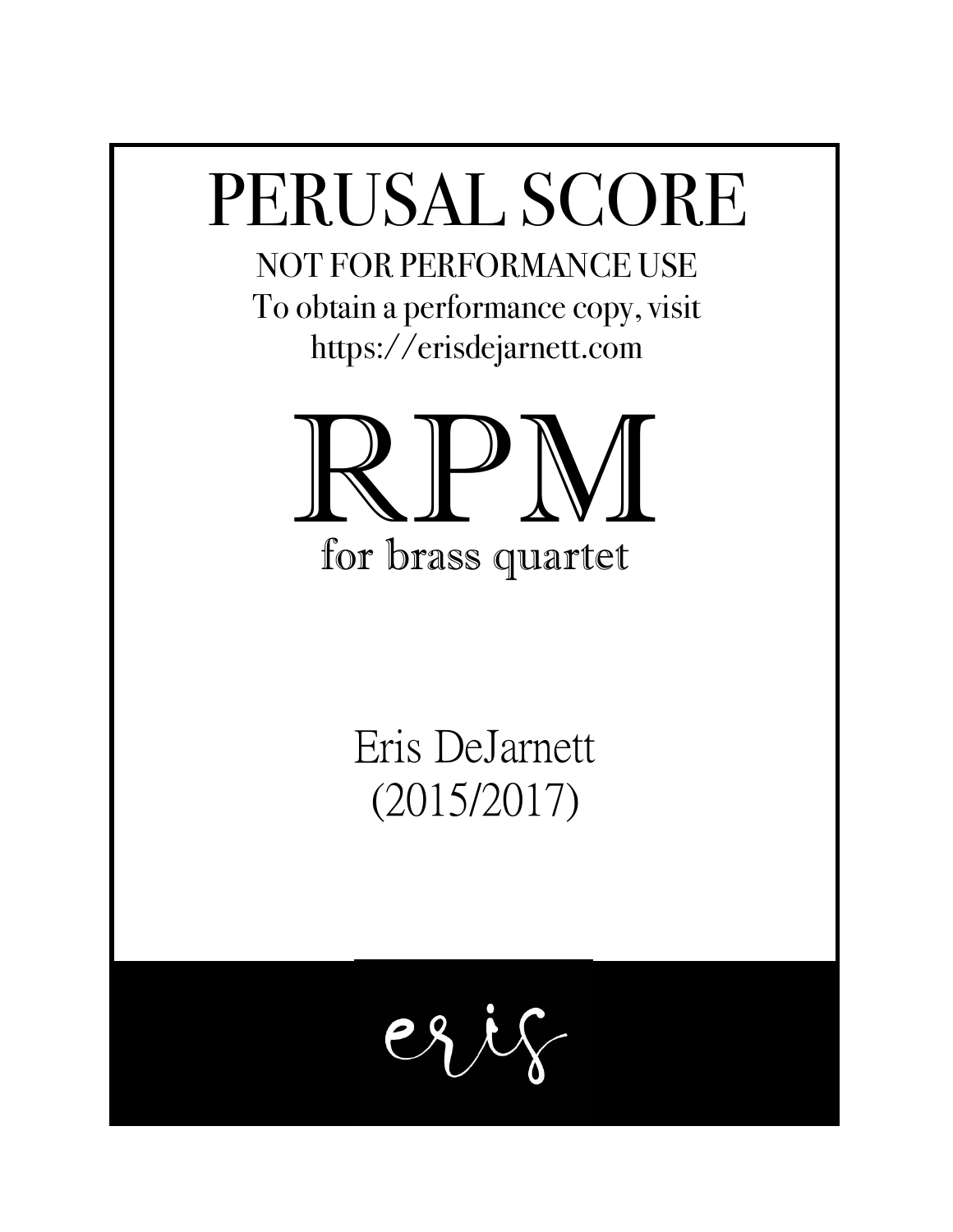## PERUSAL SCORE

NOT FOR PERFORMANCE USE To obtain a performance copy, visit https://erisdejarnett.com



Eris DeJarnett

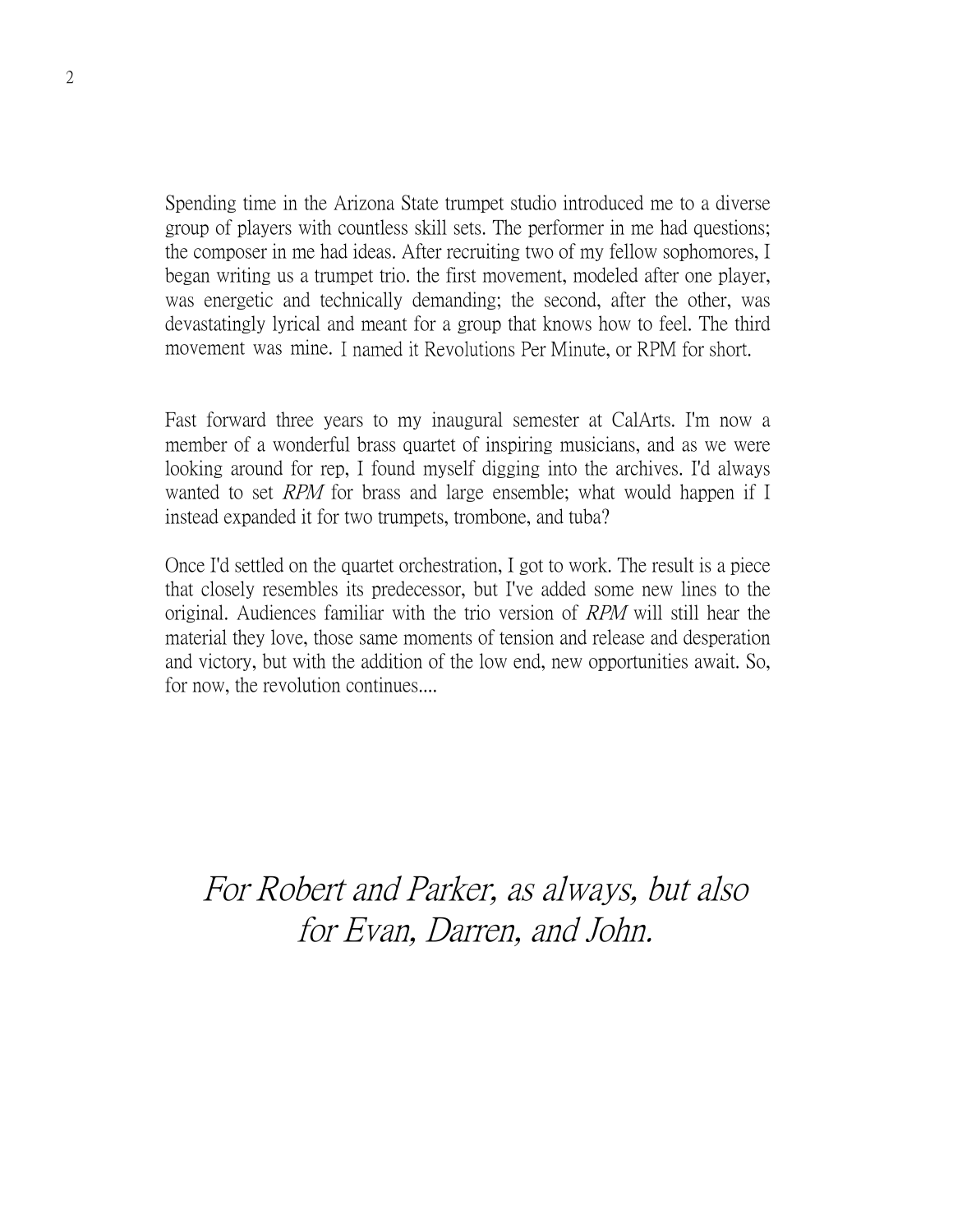Spending time in the Arizona State trumpet studio introduced me to a diverse group of players with countless skill sets. The performer in me had questions; the composer in me had ideas. After recruiting two of my fellow sophomores, I began writing us a trumpet trio. the first movement, modeled after one player, was energetic and technically demanding; the second, after the other, was devastatingly lyrical and meant for a group that knows how to feel. The third movement was mine. I named it Revolutions Per Minute, or RPM for short.

Fast forward three years to my inaugural semester at CalArts. I'm now a member of a wonderful brass quartet of inspiring musicians, and as we were looking around for rep, I found myself digging into the archives. I'd always wanted to set *RPM* for brass and large ensemble; what would happen if I instead expanded it for two trumpets, trombone, and tuba?

Once I'd settled on the quartet orchestration, I got to work. The result is a piece that closely resembles its predecessor, but I've added some new lines to the original. Audiences familiar with the trio version of RPM will still hear the material they love, those same moments of tension and release and desperation and victory, but with the addition of the low end, new opportunities await. So, for now, the revolution continues....

For Robert and Parker, as always, but also for Evan, Darren, and John.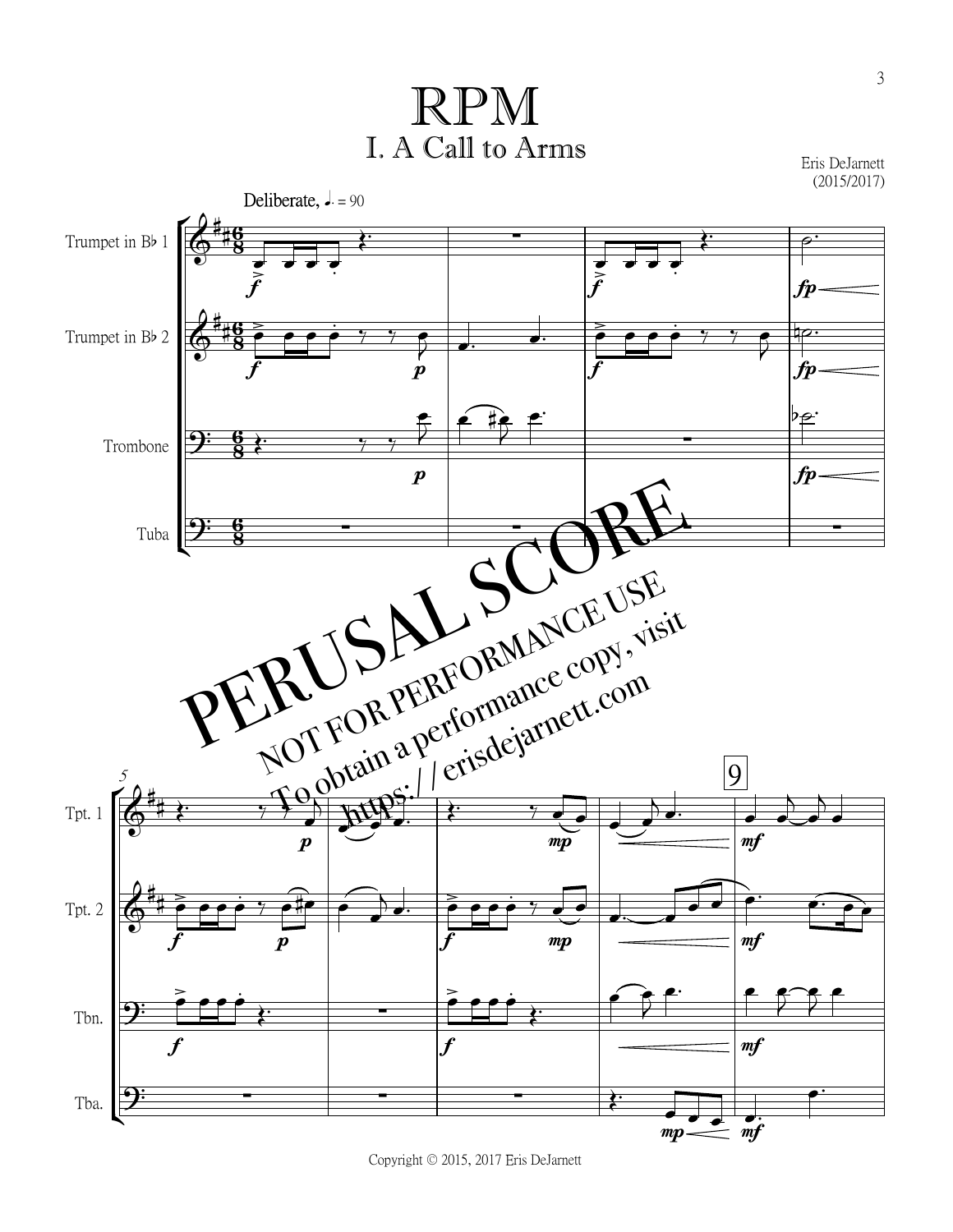$\displaystyle{\operatorname{RPM}}$ <br>  $\displaystyle{\operatorname{Call}}$  to Arms  $\displaystyle{\operatorname{Eris} \operatorname{DeJarnett}_{(2015/2017)}}$ RPM<br>I. A Call to Arms

Eris DeJarnett



Copyright © 2015, 2017 Eris DeJarnett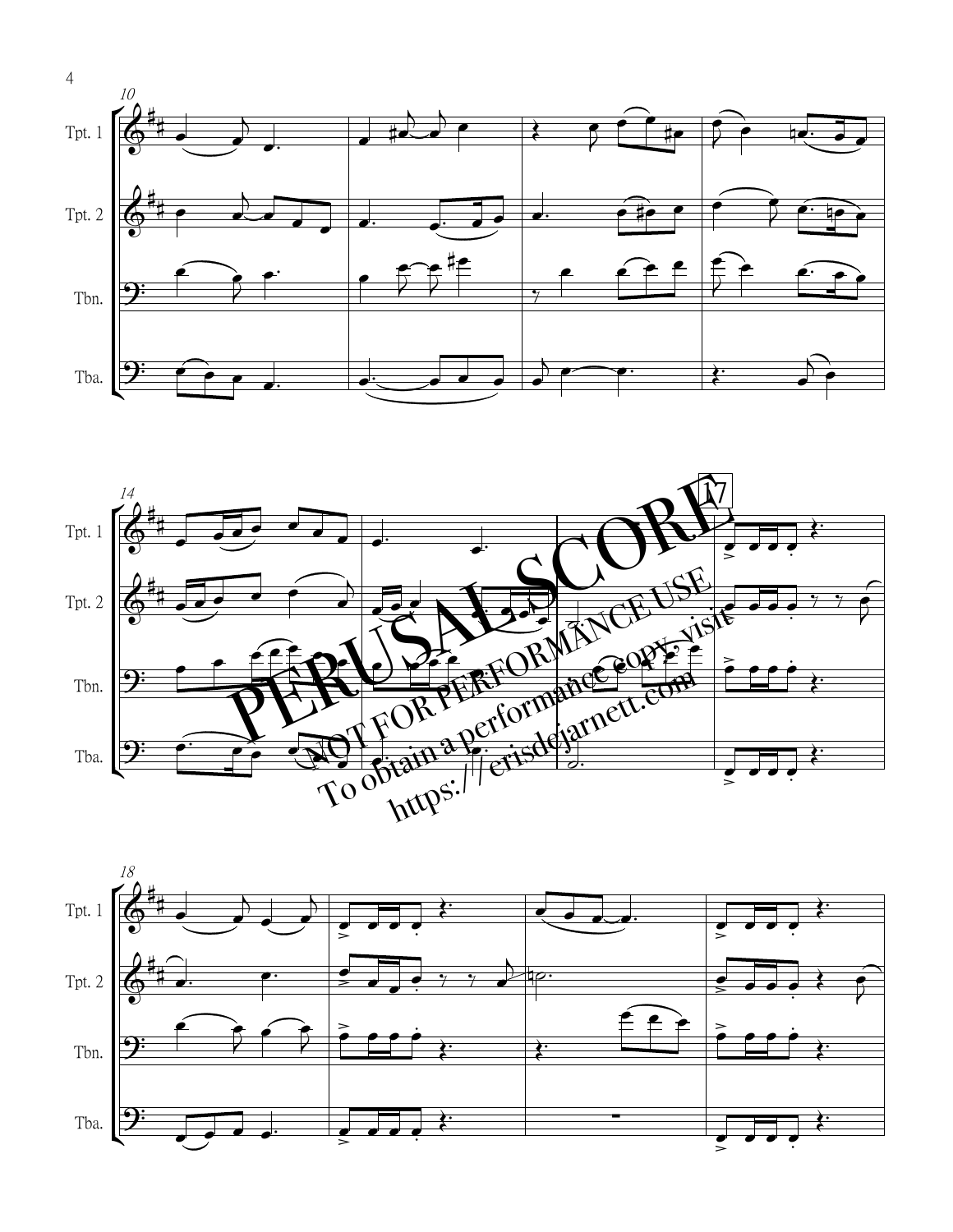





4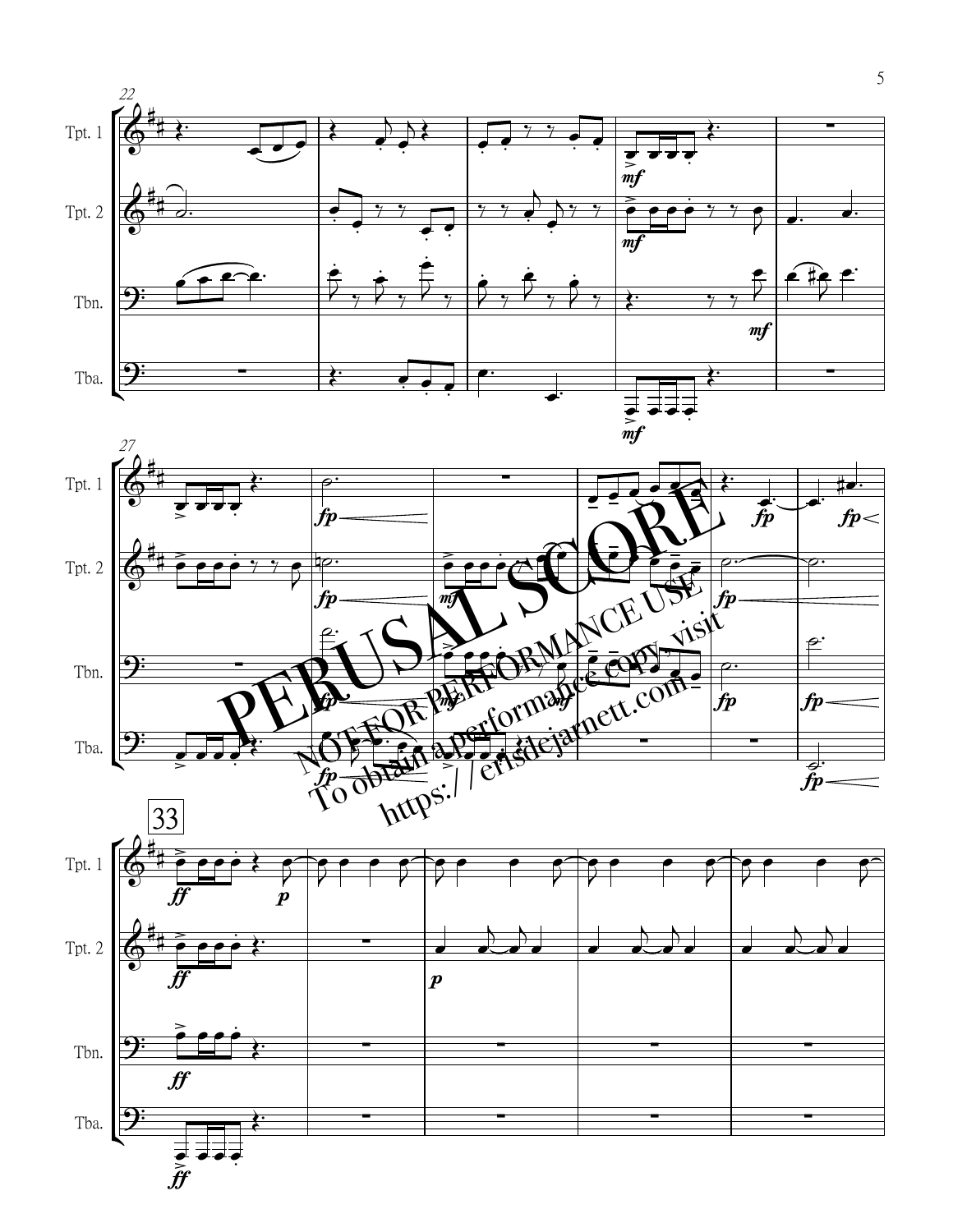



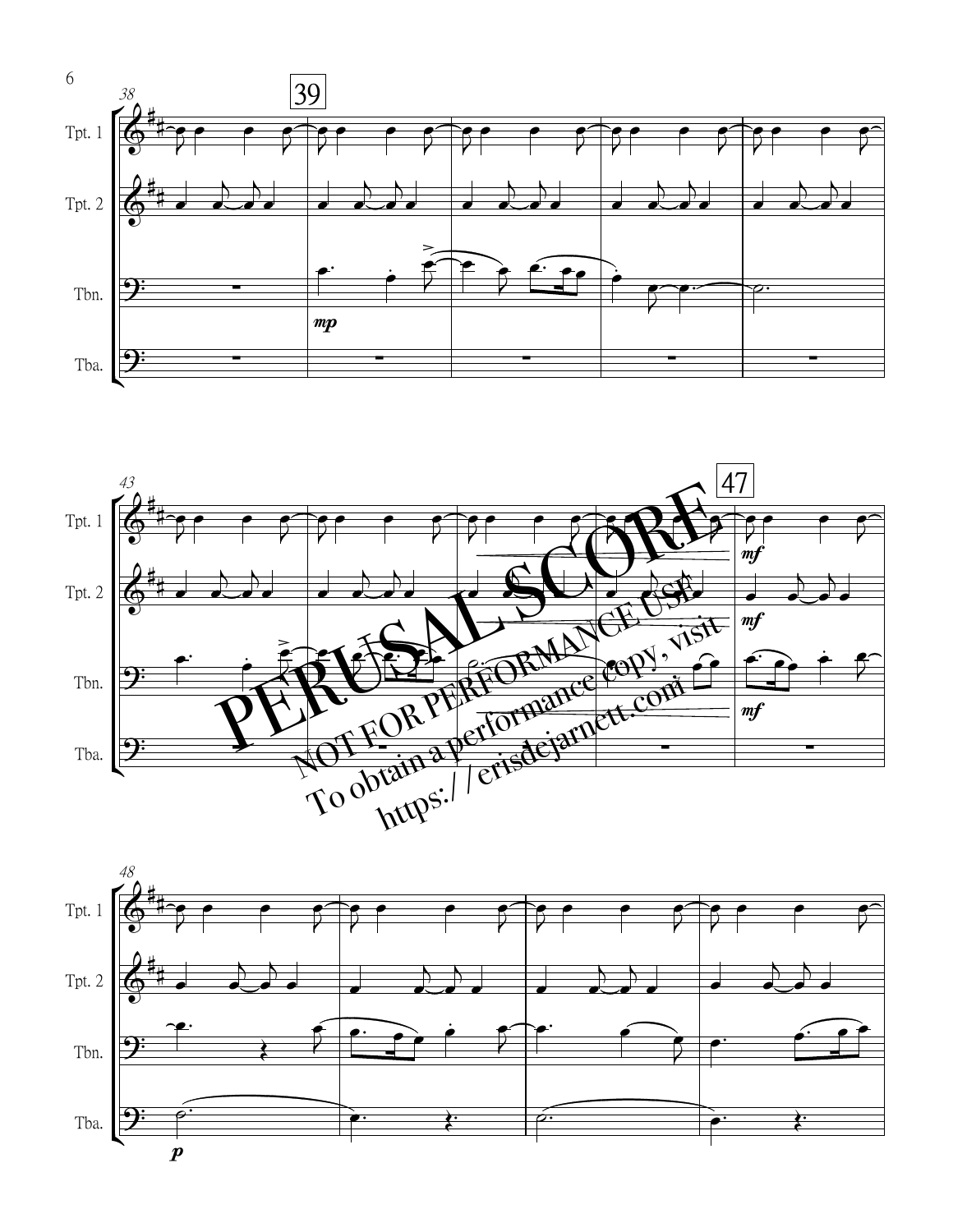



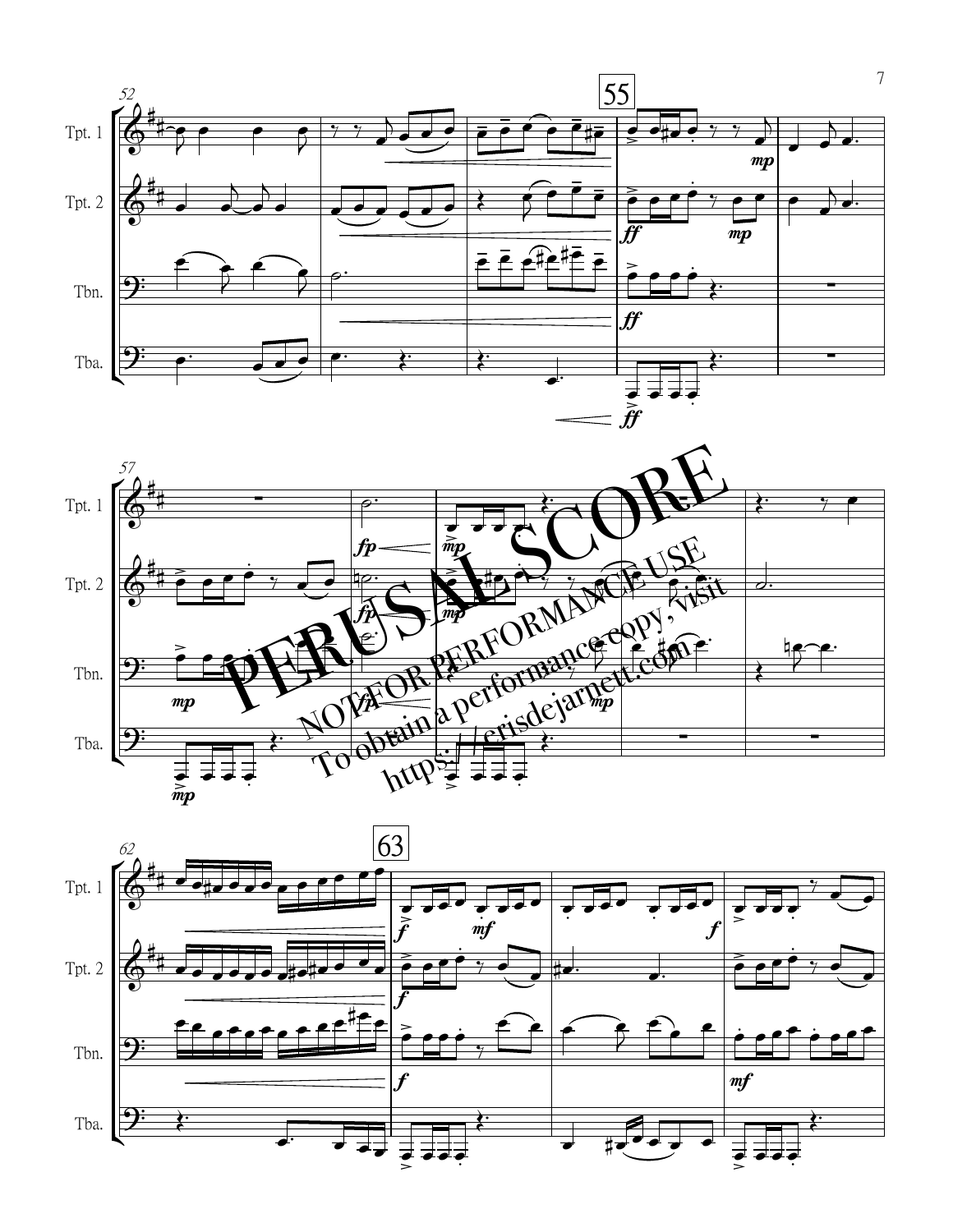



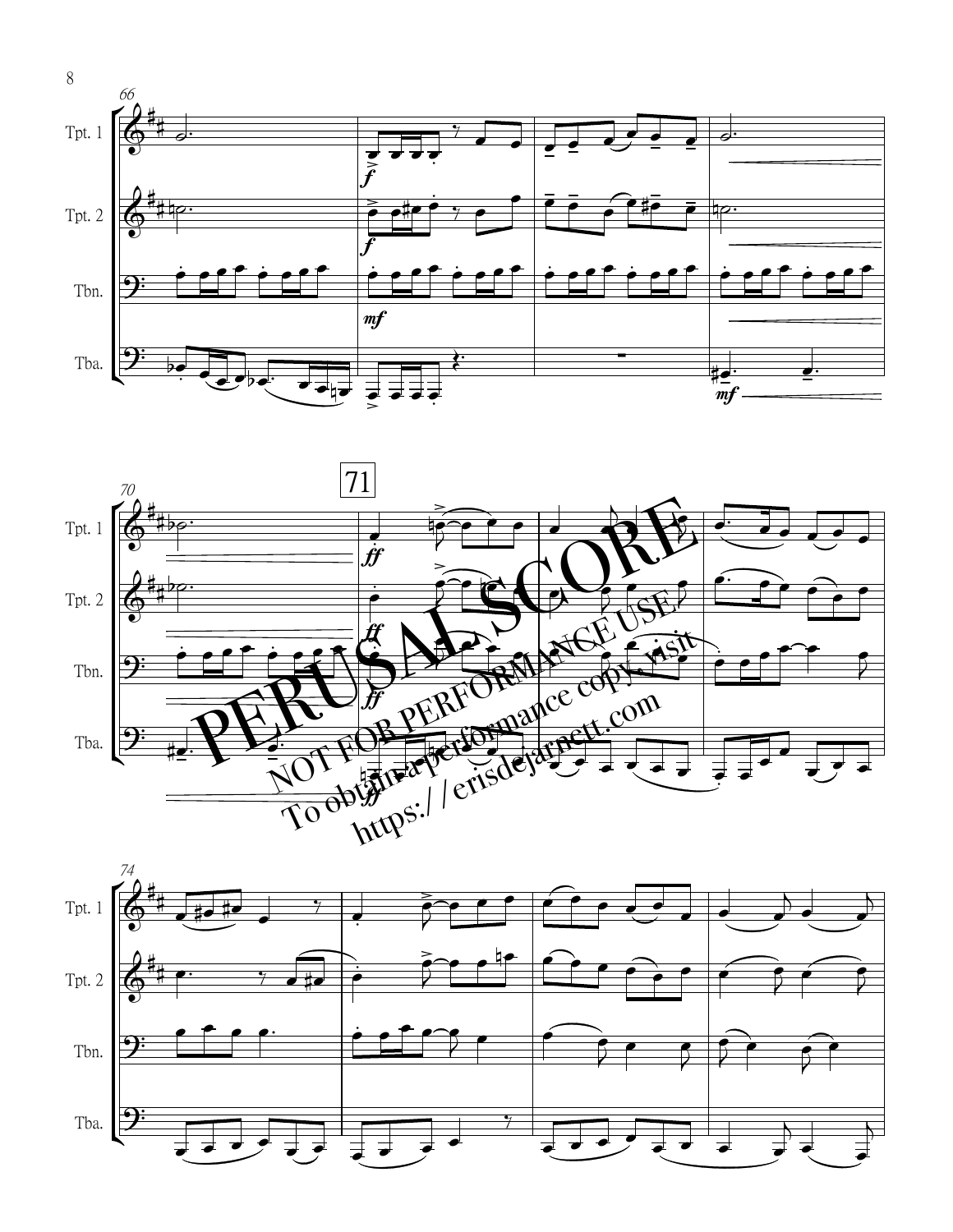



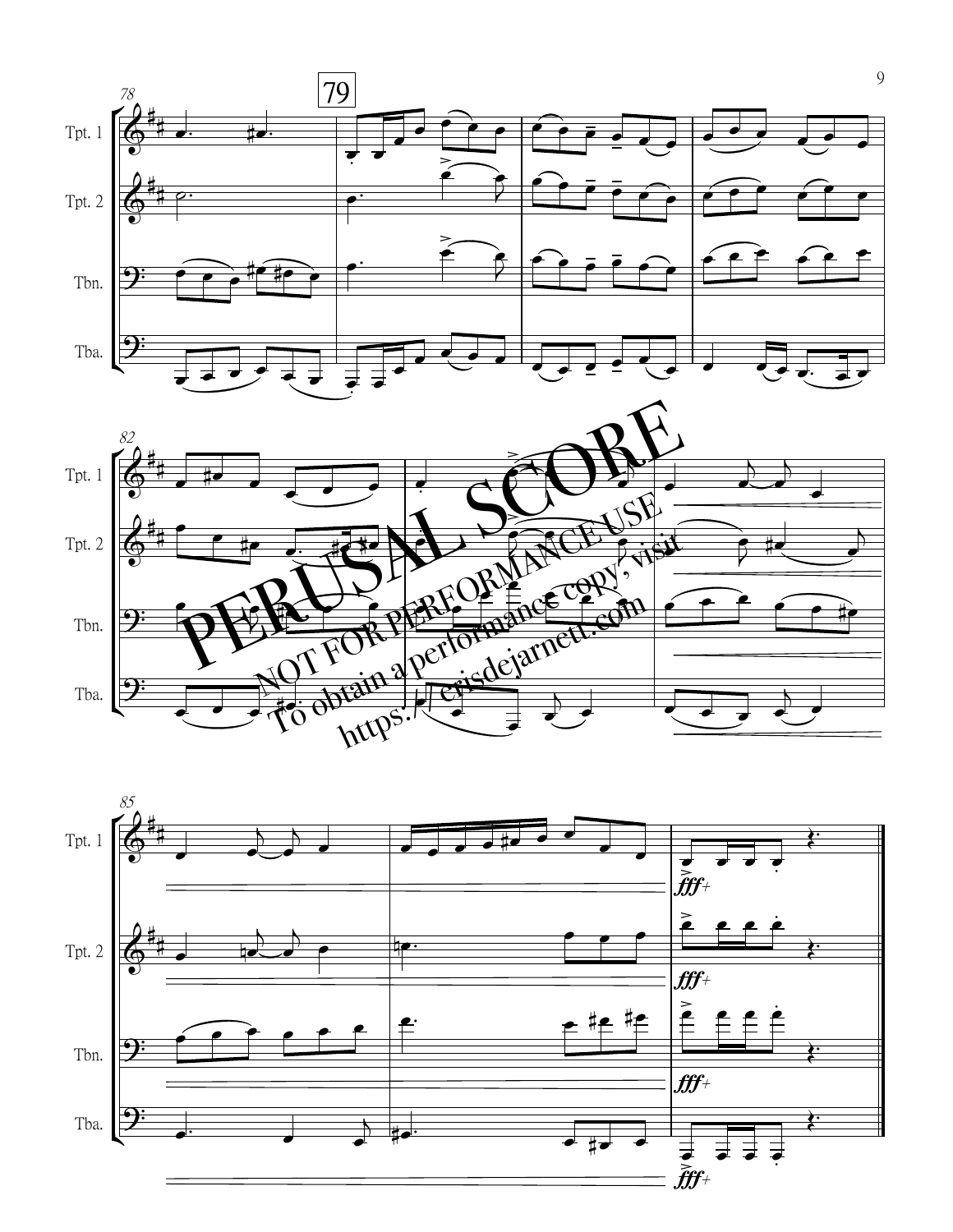



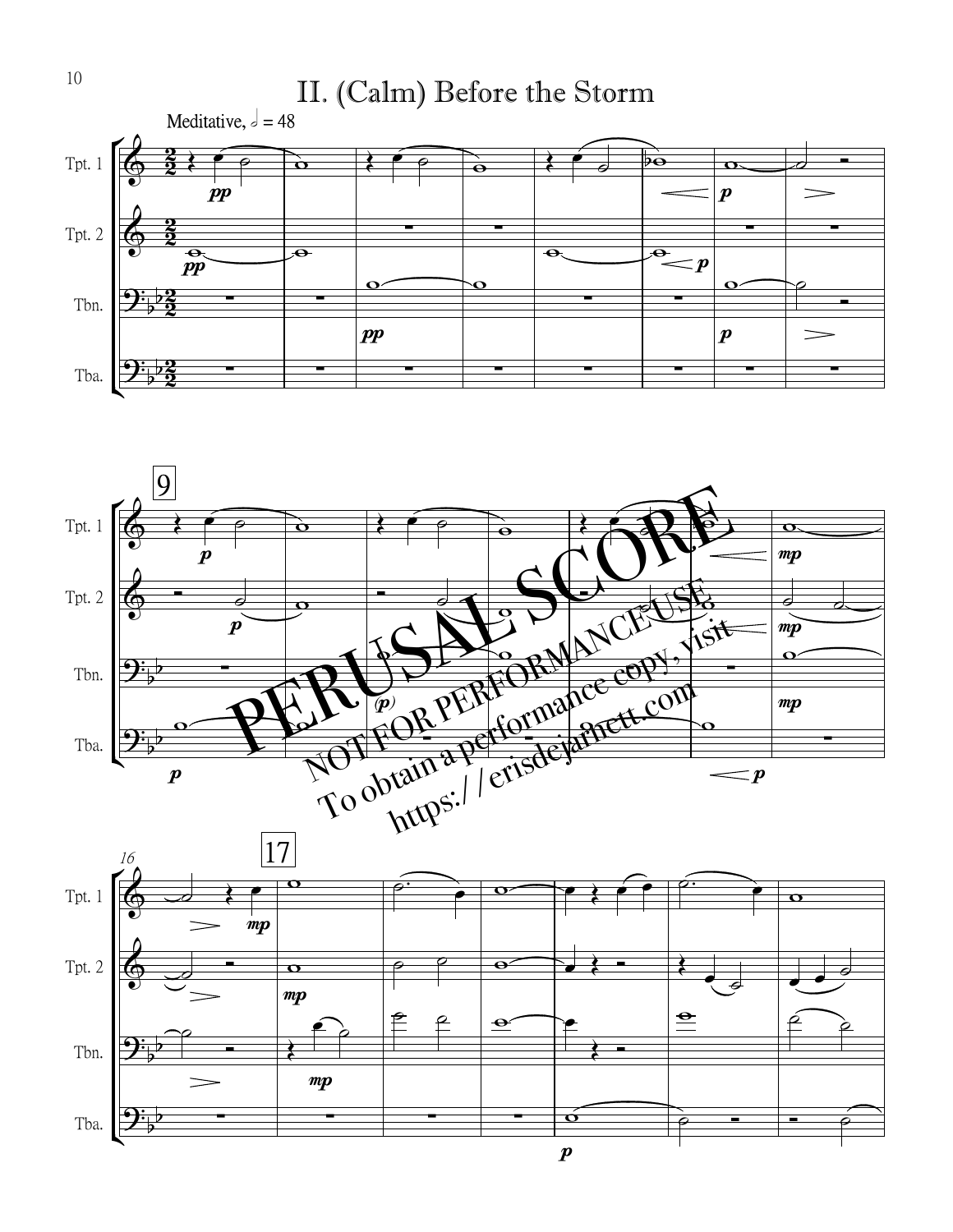



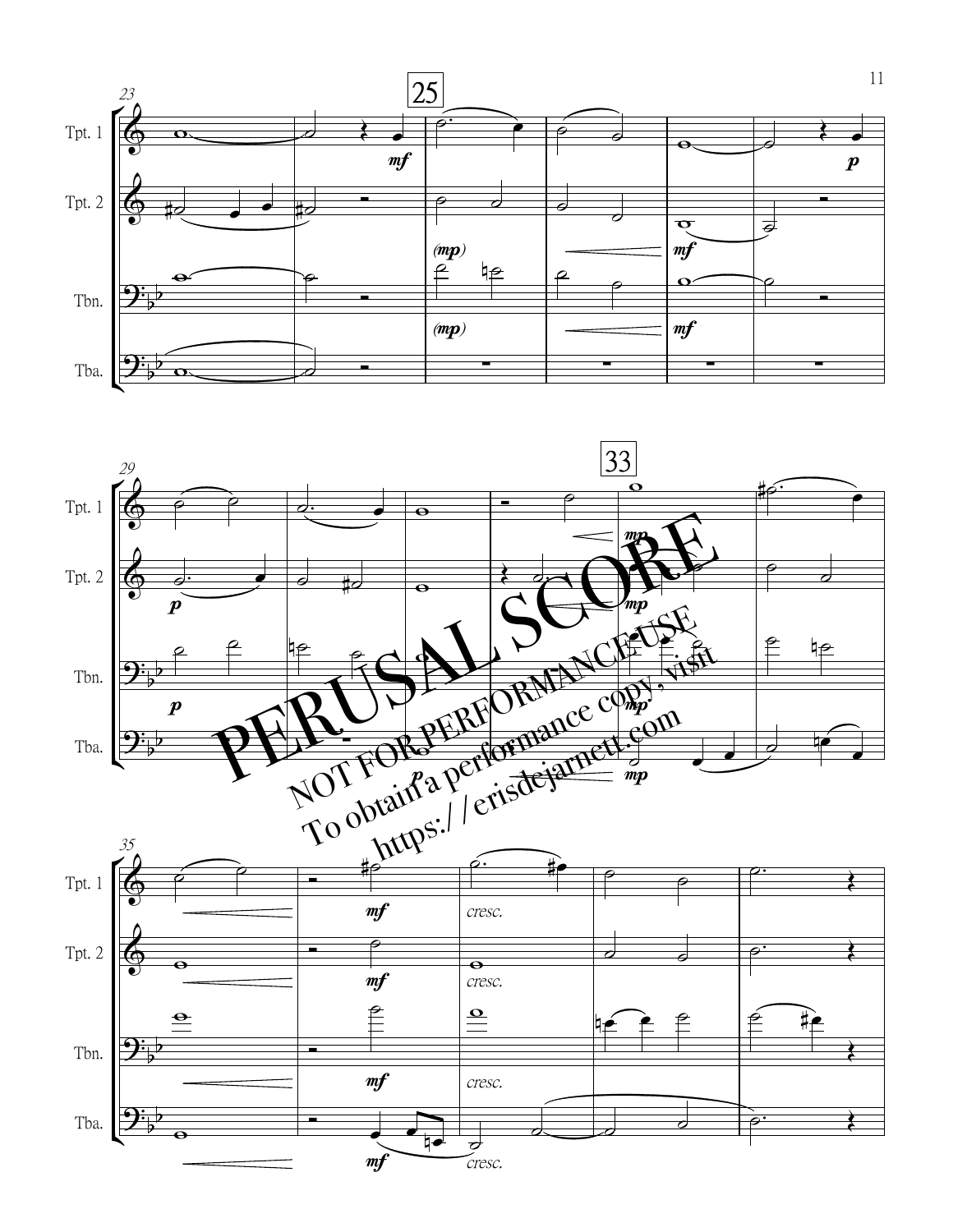

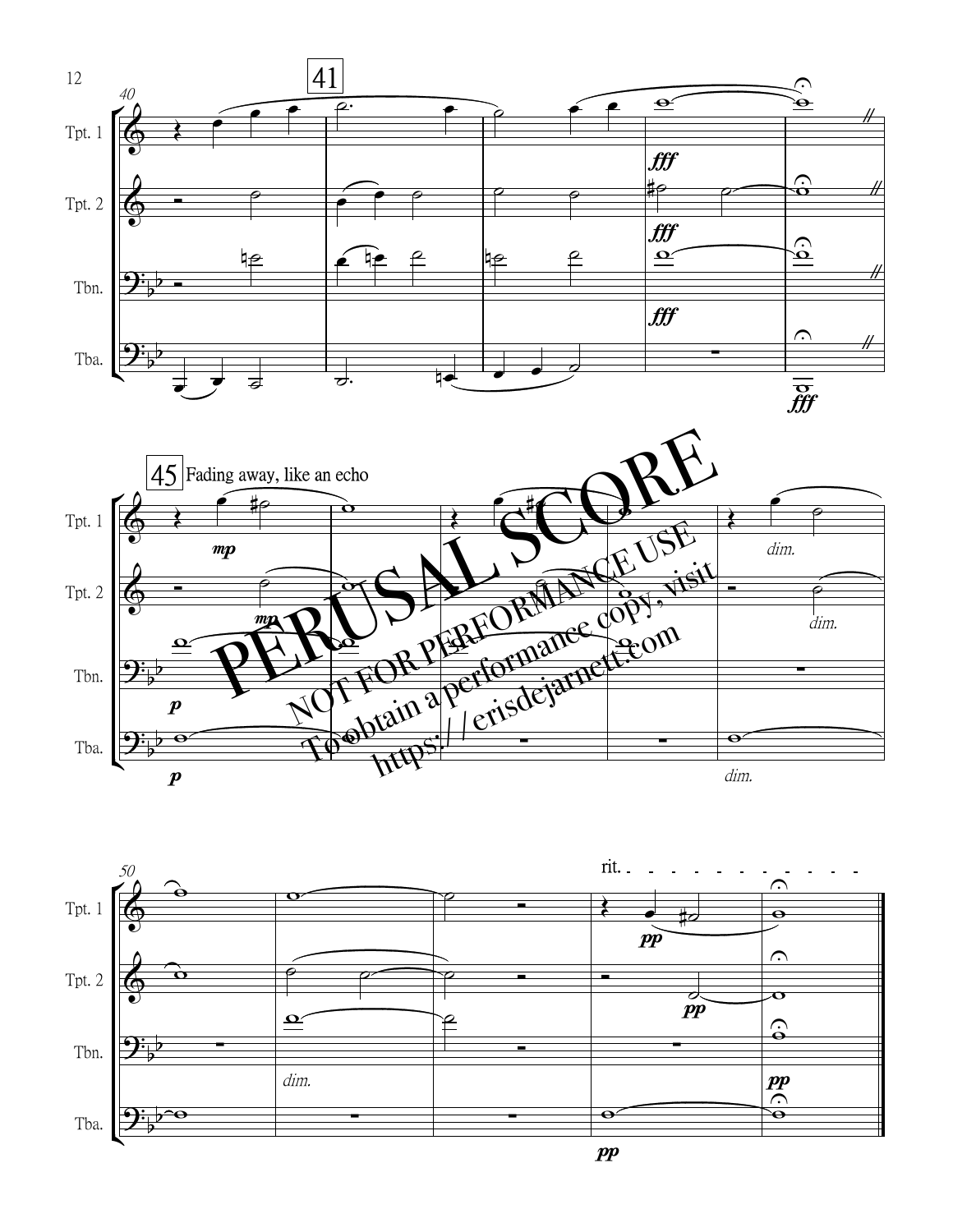

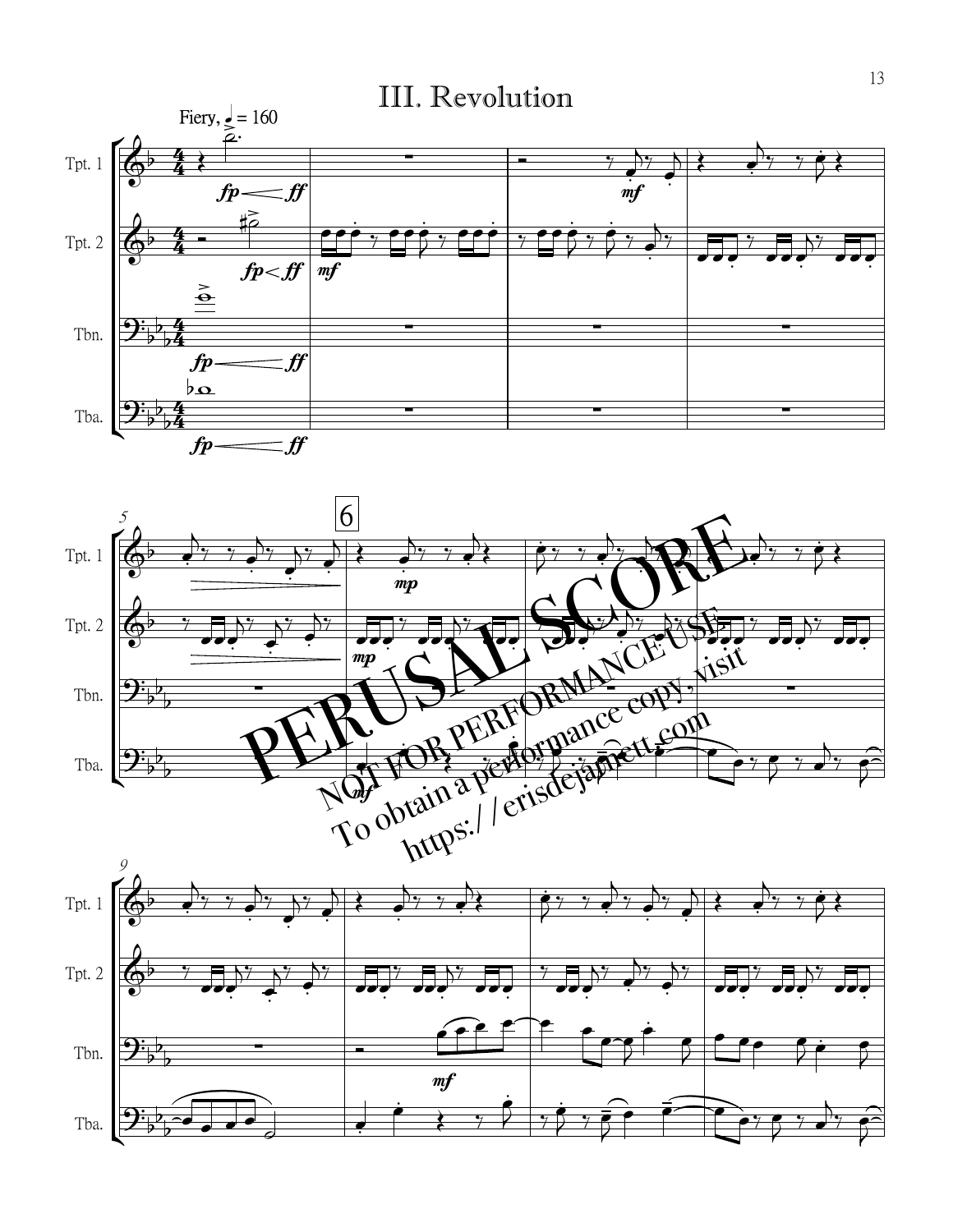



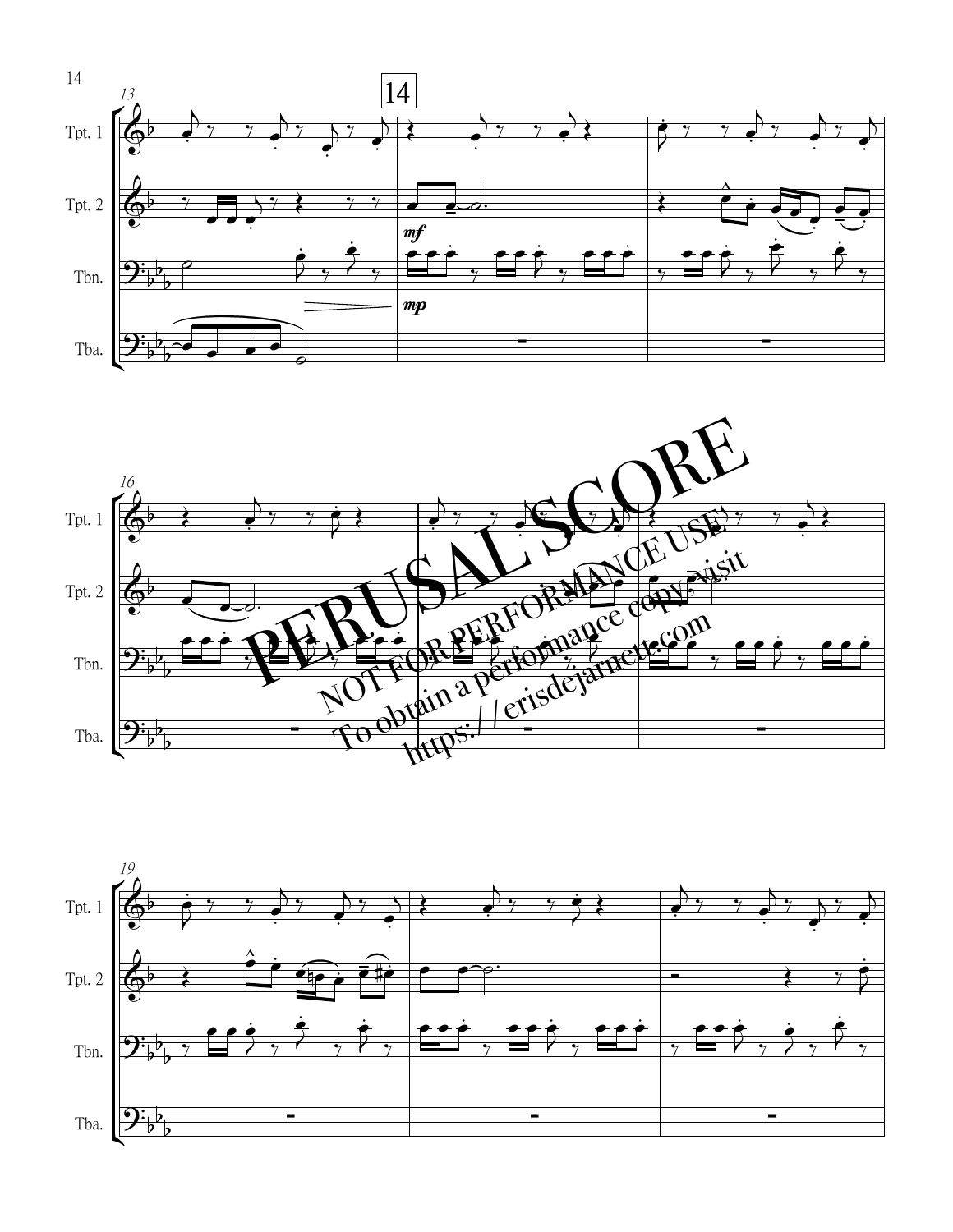



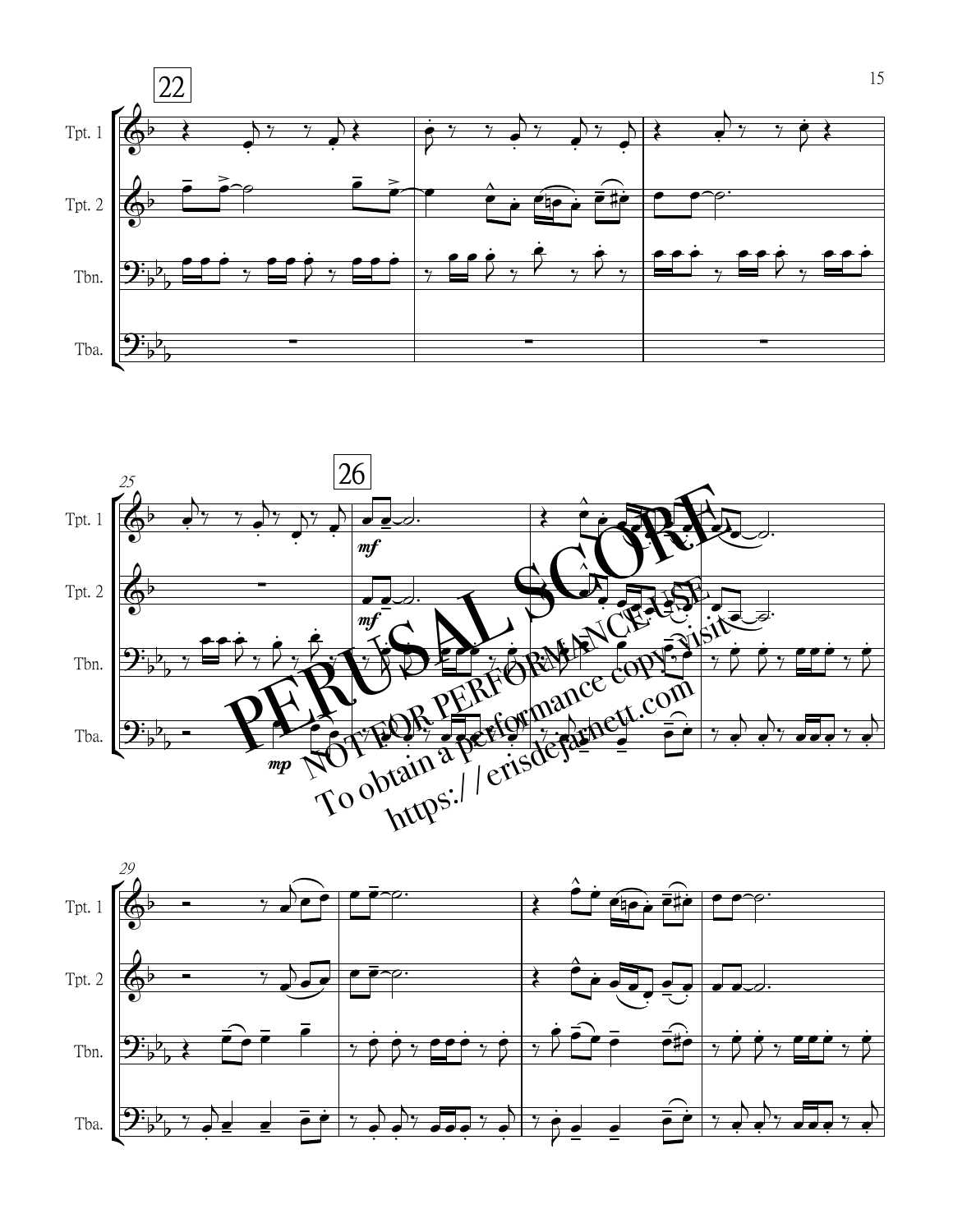



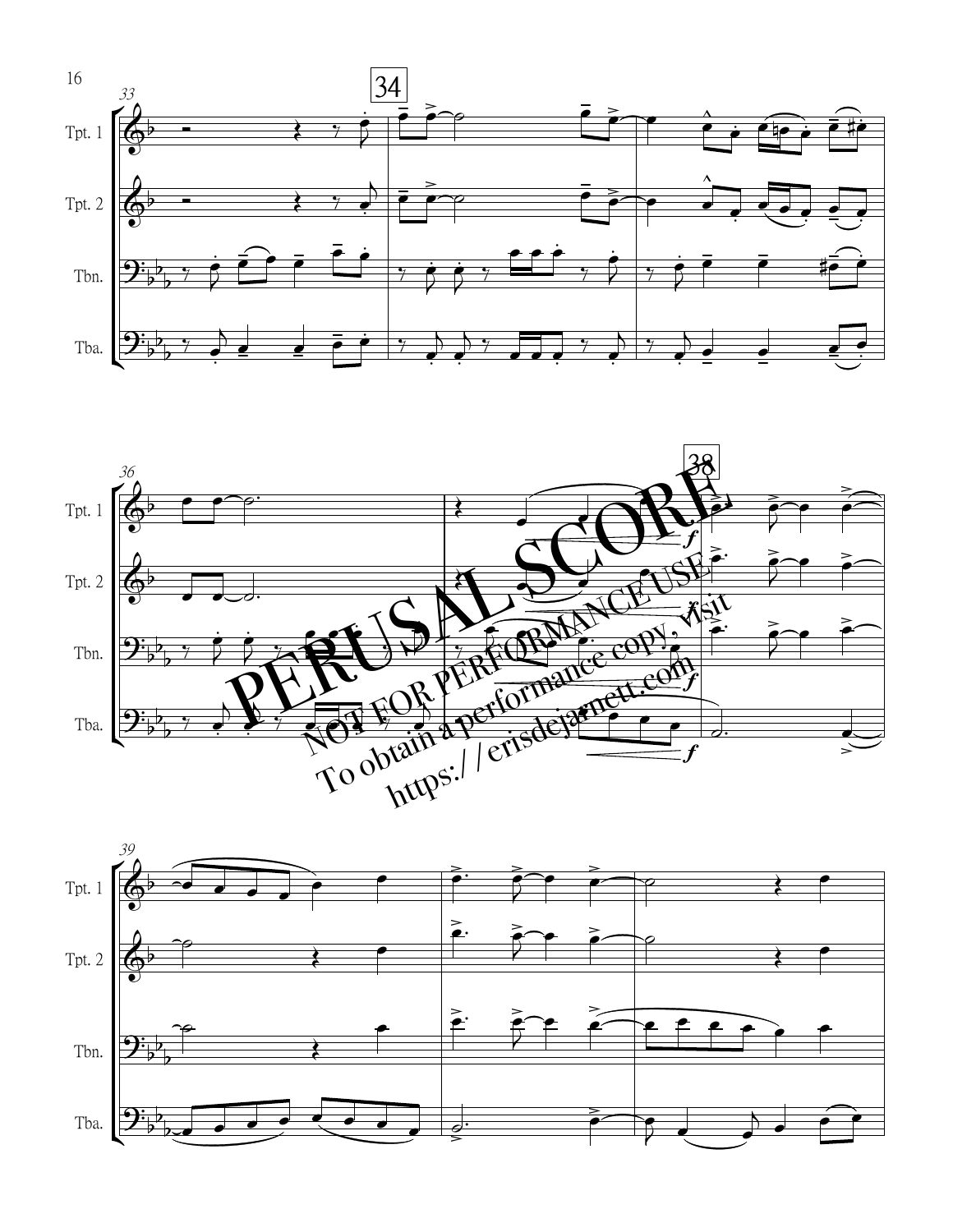



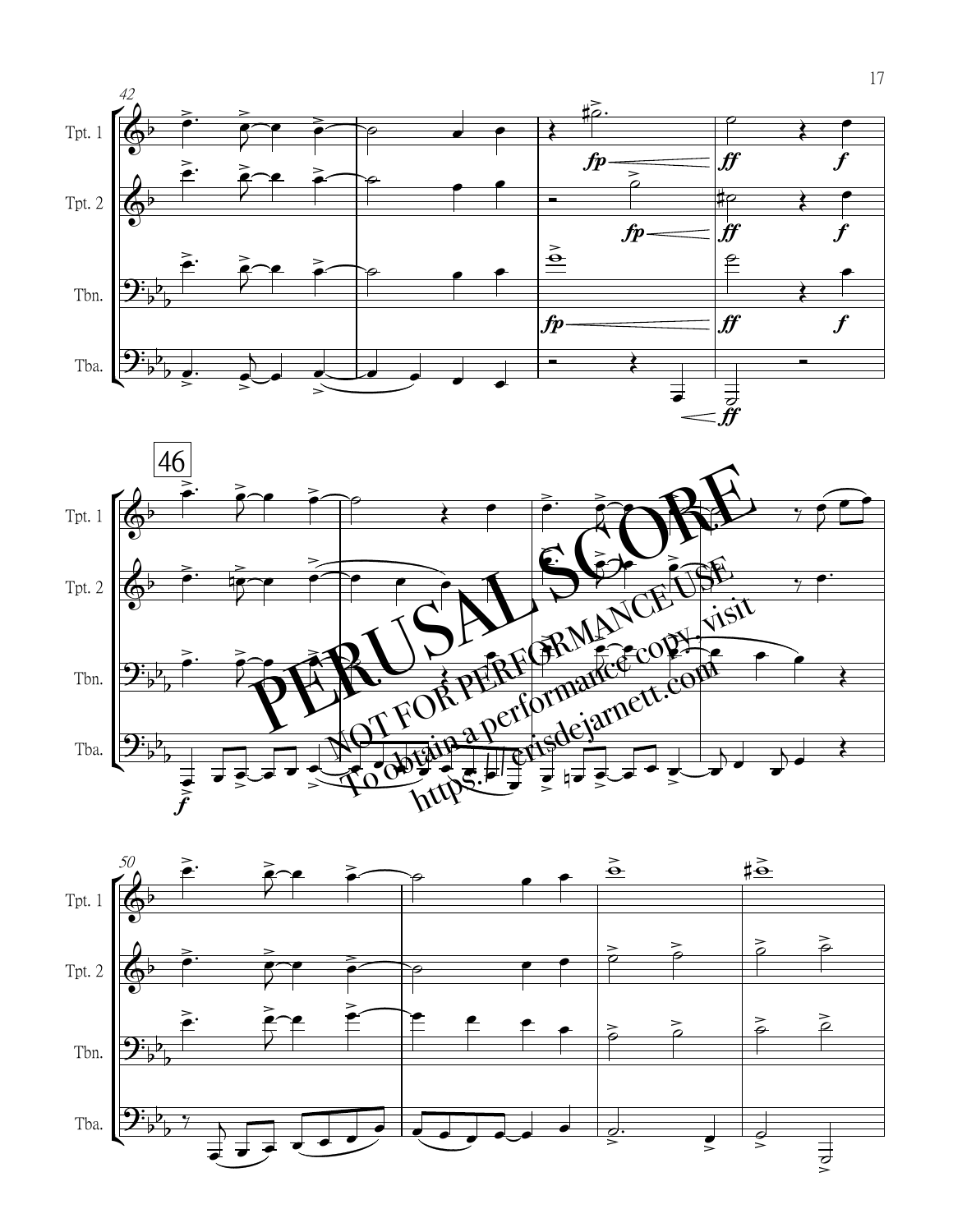



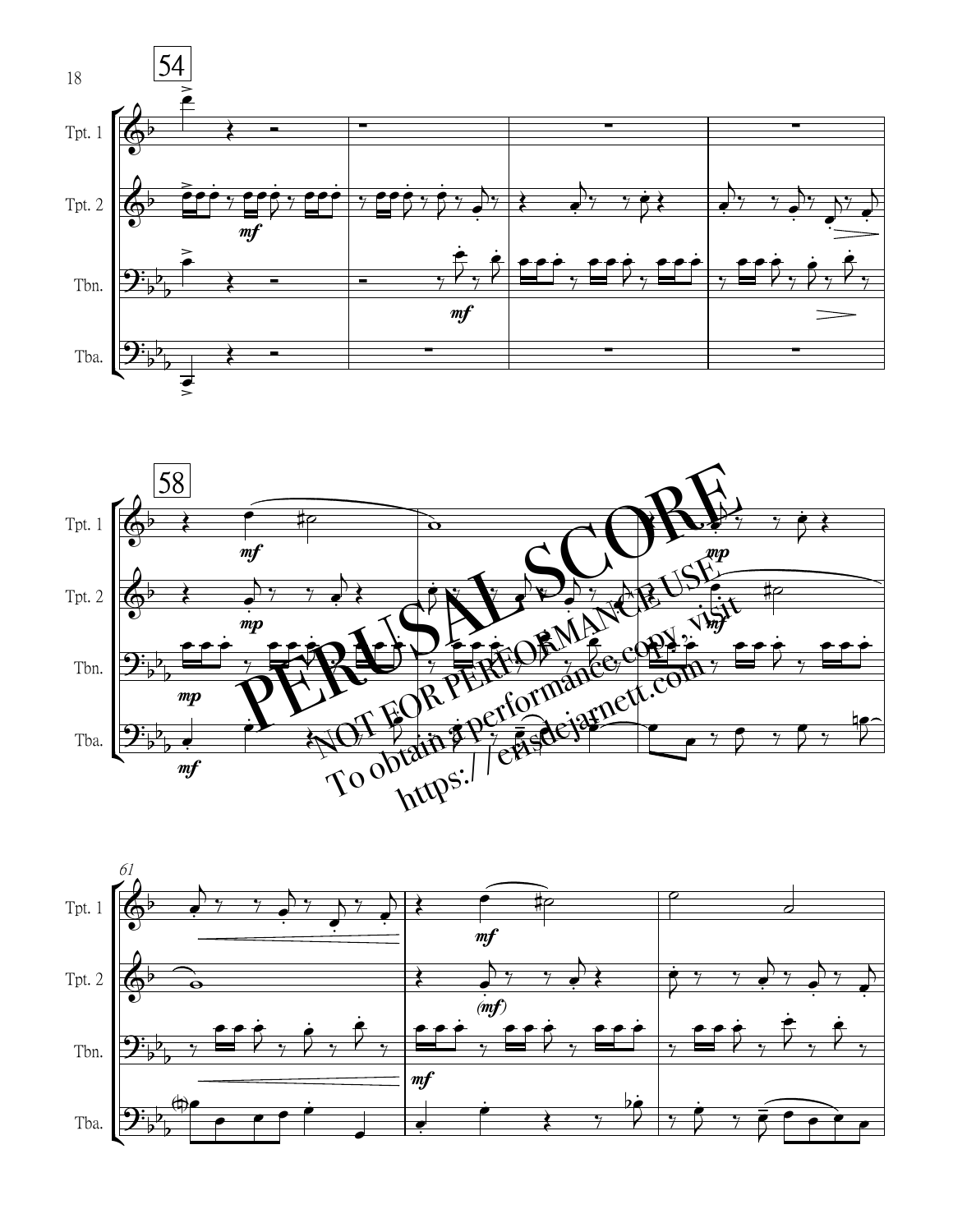